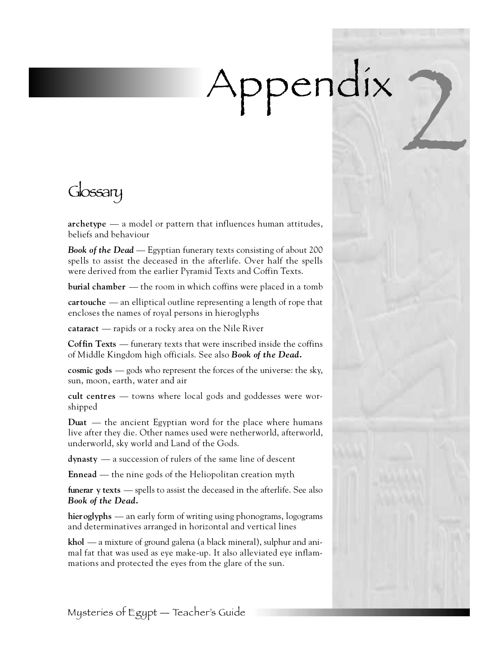## Appendix 2

Glossary

**archetype** — a model or pattern that influences human attitudes, beliefs and behaviour

*Book of the Dead* — Egyptian funerary texts consisting of about 200 spells to assist the deceased in the afterlife. Over half the spells were derived from the earlier Pyramid Texts and Coffin Texts.

**burial chamber** — the room in which coffins were placed in a tomb

**cartouche** — an elliptical outline representing a length of rope that encloses the names of royal persons in hieroglyphs

**cataract** — rapids or a rocky area on the Nile River

**Coffin Texts** — funerary texts that were inscribed inside the coffins of Middle Kingdom high officials. See also *Book of the Dead.*

**cosmic gods** — gods who represent the forces of the universe: the sky, sun, moon, earth, water and air

**cult centres** — towns where local gods and goddesses were worshipped

**Duat** — the ancient Egyptian word for the place where humans live after they die. Other names used were netherworld, afterworld, underworld, sky world and Land of the Gods.

**dynasty** — a succession of rulers of the same line of descent

**Ennead** — the nine gods of the Heliopolitan creation myth

**funerar y texts** — spells to assist the deceased in the afterlife. See also *Book of the Dead.*

hier **oglyphs** — an early form of writing using phonograms, logograms and determinatives arranged in horizontal and vertical lines

**khol** — a mixture of ground galena (a black mineral), sulphur and animal fat that was used as eye make-up. It also alleviated eye inflammations and protected the eyes from the glare of the sun.